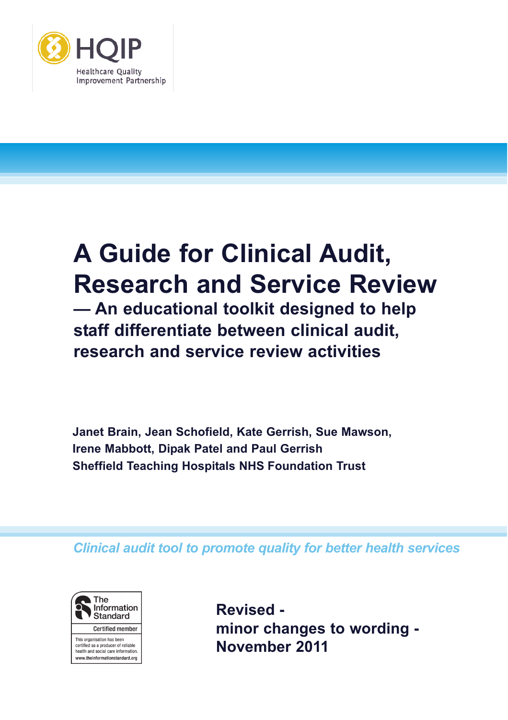

# **A Guide for Clinical Audit, Research and Service Review**

**— An educational toolkit designed to help staff differentiate between clinical audit, research and service review activities**

**Janet Brain, Jean Schofield, Kate Gerrish, Sue Mawson, Irene Mabbott, Dipak Patel and Paul Gerrish Sheffield Teaching Hospitals NHS Foundation Trust**

*Clinical audit tool to promote quality for better health services*



This organisation has been certified as a producer of reliable health and social care information. www.theinformationstandard.org **Revised minor changes to wording - November 2011**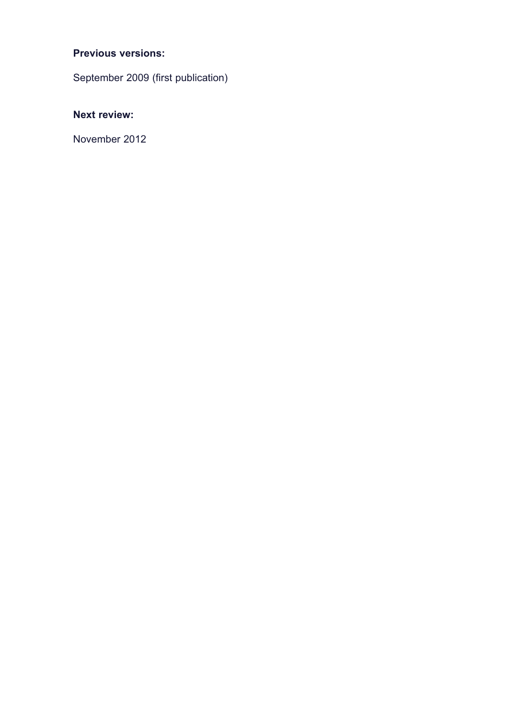# **Previous versions:**

September 2009 (first publication)

# **Next review:**

November 2012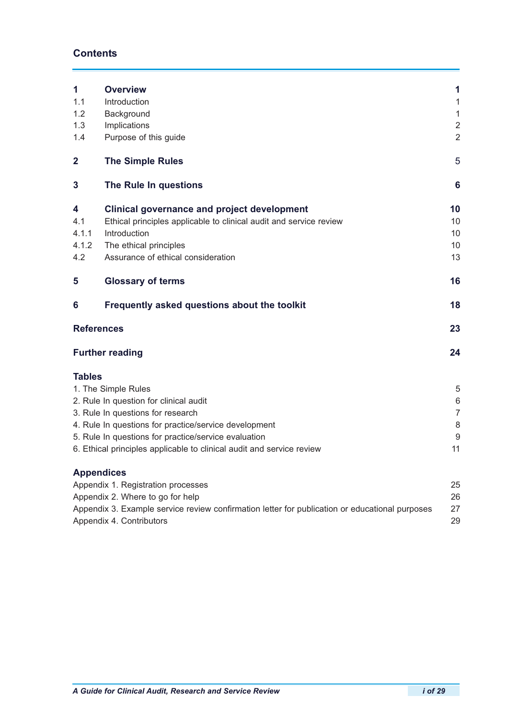# **Contents**

| 1                       | <b>Overview</b>                                                                                | 1              |
|-------------------------|------------------------------------------------------------------------------------------------|----------------|
| 1.1                     | Introduction                                                                                   | 1              |
| 1.2                     | Background                                                                                     | $\mathbf{1}$   |
| 1.3                     | Implications                                                                                   | $\overline{2}$ |
| 1.4                     | Purpose of this guide                                                                          | $\overline{2}$ |
| $\overline{\mathbf{2}}$ | <b>The Simple Rules</b>                                                                        | 5              |
| 3                       | The Rule In questions                                                                          | 6              |
| 4                       | <b>Clinical governance and project development</b>                                             | 10             |
| 4.1                     | Ethical principles applicable to clinical audit and service review                             | 10             |
| 4.1.1                   | Introduction                                                                                   | 10             |
| 4.1.2                   | The ethical principles                                                                         | 10             |
| 4.2                     | Assurance of ethical consideration                                                             | 13             |
| 5                       | <b>Glossary of terms</b>                                                                       | 16             |
| 6                       | Frequently asked questions about the toolkit                                                   | 18             |
|                         | <b>References</b>                                                                              | 23             |
|                         | <b>Further reading</b>                                                                         | 24             |
| <b>Tables</b>           |                                                                                                |                |
|                         | 1. The Simple Rules                                                                            | 5              |
|                         | 2. Rule In question for clinical audit                                                         | 6              |
|                         | 3. Rule In questions for research                                                              | $\overline{7}$ |
|                         | 4. Rule In questions for practice/service development                                          | 8              |
|                         | 5. Rule In questions for practice/service evaluation                                           | 9              |
|                         | 6. Ethical principles applicable to clinical audit and service review                          | 11             |
|                         | <b>Appendices</b>                                                                              |                |
|                         | Appendix 1. Registration processes                                                             | 25             |
|                         | Appendix 2. Where to go for help                                                               | 26             |
|                         | Appendix 3. Example service review confirmation letter for publication or educational purposes | 27             |
|                         | Appendix 4. Contributors                                                                       | 29             |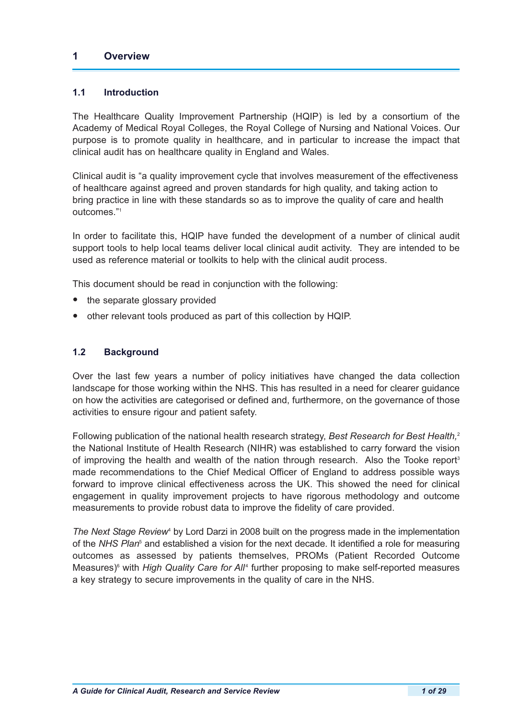## **1 Overview**

## **1.1 Introduction**

The Healthcare Quality Improvement Partnership (HQIP) is led by a consortium of the Academy of Medical Royal Colleges, the Royal College of Nursing and National Voices. Our purpose is to promote quality in healthcare, and in particular to increase the impact that clinical audit has on healthcare quality in England and Wales.

Clinical audit is "a quality improvement cycle that involves measurement of the effectiveness of healthcare against agreed and proven standards for high quality, and taking action to bring practice in line with these standards so as to improve the quality of care and health outcomes."<sup>1</sup>

In order to facilitate this, HQIP have funded the development of a number of clinical audit support tools to help local teams deliver local clinical audit activity. They are intended to be used as reference material or toolkits to help with the clinical audit process.

This document should be read in conjunction with the following:

- the separate glossary provided
- other relevant tools produced as part of this collection by HQIP.

## **1.2 Background**

Over the last few years a number of policy initiatives have changed the data collection landscape for those working within the NHS. This has resulted in a need for clearer guidance on how the activities are categorised or defined and, furthermore, on the governance of those activities to ensure rigour and patient safety.

Following publication of the national health research strategy, *Best Research for Best Health,*<sup>2</sup> the National Institute of Health Research (NIHR) was established to carry forward the vision of improving the health and wealth of the nation through research. Also the Tooke report<sup>3</sup> made recommendations to the Chief Medical Officer of England to address possible ways forward to improve clinical effectiveness across the UK. This showed the need for clinical engagement in quality improvement projects to have rigorous methodology and outcome measurements to provide robust data to improve the fidelity of care provided.

*The Next Stage Review*<sup>4</sup> by Lord Darzi in 2008 built on the progress made in the implementation of the *NHS Plan*<sup>5</sup> and established a vision for the next decade. It identified a role for measuring outcomes as assessed by patients themselves, PROMs (Patient Recorded Outcome Measures)<sup>6</sup> with *High Quality Care for All<sup>4</sup>* further proposing to make self-reported measures a key strategy to secure improvements in the quality of care in the NHS.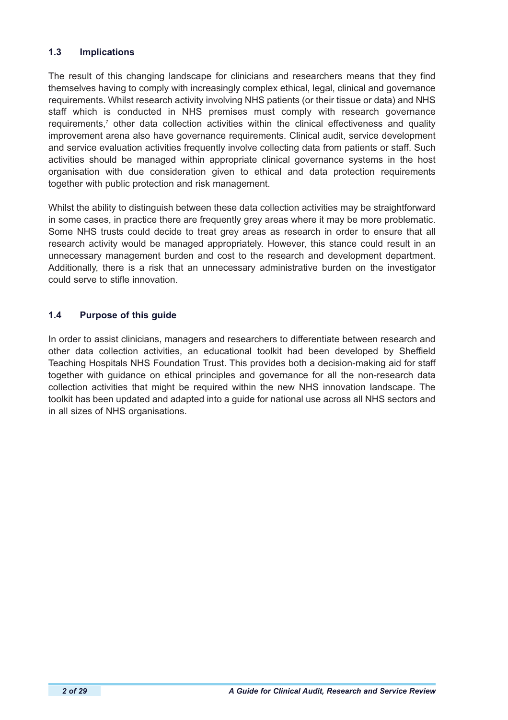## **1.3 Implications**

The result of this changing landscape for clinicians and researchers means that they find themselves having to comply with increasingly complex ethical, legal, clinical and governance requirements. Whilst research activity involving NHS patients (or their tissue or data) and NHS staff which is conducted in NHS premises must comply with research governance requirements,<sup>7</sup> other data collection activities within the clinical effectiveness and quality improvement arena also have governance requirements. Clinical audit, service development and service evaluation activities frequently involve collecting data from patients or staff. Such activities should be managed within appropriate clinical governance systems in the host organisation with due consideration given to ethical and data protection requirements together with public protection and risk management.

Whilst the ability to distinguish between these data collection activities may be straightforward in some cases, in practice there are frequently grey areas where it may be more problematic. Some NHS trusts could decide to treat grey areas as research in order to ensure that all research activity would be managed appropriately. However, this stance could result in an unnecessary management burden and cost to the research and development department. Additionally, there is a risk that an unnecessary administrative burden on the investigator could serve to stifle innovation.

## **1.4 Purpose of this guide**

In order to assist clinicians, managers and researchers to differentiate between research and other data collection activities, an educational toolkit had been developed by Sheffield Teaching Hospitals NHS Foundation Trust. This provides both a decision-making aid for staff together with guidance on ethical principles and governance for all the non-research data collection activities that might be required within the new NHS innovation landscape. The toolkit has been updated and adapted into a guide for national use across all NHS sectors and in all sizes of NHS organisations.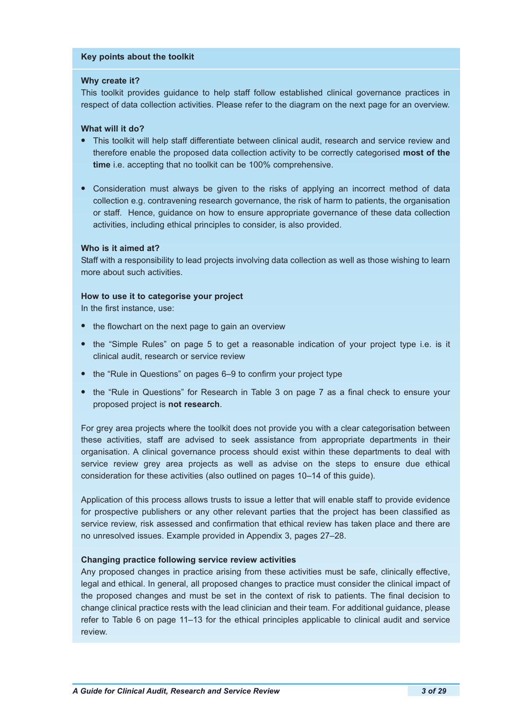#### **Key points about the toolkit**

#### **Why create it?**

This toolkit provides guidance to help staff follow established clinical governance practices in respect of data collection activities. Please refer to the diagram on the next page for an overview.

## **What will it do?**

- **•** This toolkit will help staff differentiate between clinical audit, research and service review and therefore enable the proposed data collection activity to be correctly categorised **most of the time** i.e. accepting that no toolkit can be 100% comprehensive.
- **•** Consideration must always be given to the risks of applying an incorrect method of data collection e.g. contravening research governance, the risk of harm to patients, the organisation or staff. Hence, guidance on how to ensure appropriate governance of these data collection activities, including ethical principles to consider, is also provided.

#### **Who is it aimed at?**

Staff with a responsibility to lead projects involving data collection as well as those wishing to learn more about such activities.

#### **How to use it to categorise your project**

In the first instance, use:

- **•** the flowchart on the next page to gain an overview
- **•** the "Simple Rules" on page 5 to get a reasonable indication of your project type i.e. is it clinical audit, research or service review
- the "Rule in Questions" on pages 6–9 to confirm your project type
- **•** the "Rule in Questions" for Research in Table 3 on page 7 as a final check to ensure your proposed project is **not research**.

For grey area projects where the toolkit does not provide you with a clear categorisation between these activities, staff are advised to seek assistance from appropriate departments in their organisation. A clinical governance process should exist within these departments to deal with service review grey area projects as well as advise on the steps to ensure due ethical consideration for these activities (also outlined on pages 10–14 of this guide).

Application of this process allows trusts to issue a letter that will enable staff to provide evidence for prospective publishers or any other relevant parties that the project has been classified as service review, risk assessed and confirmation that ethical review has taken place and there are no unresolved issues. Example provided in Appendix 3, pages 27–28.

#### **Changing practice following service review activities**

Any proposed changes in practice arising from these activities must be safe, clinically effective, legal and ethical. In general, all proposed changes to practice must consider the clinical impact of the proposed changes and must be set in the context of risk to patients. The final decision to change clinical practice rests with the lead clinician and their team. For additional guidance, please refer to Table 6 on page 11–13 for the ethical principles applicable to clinical audit and service review.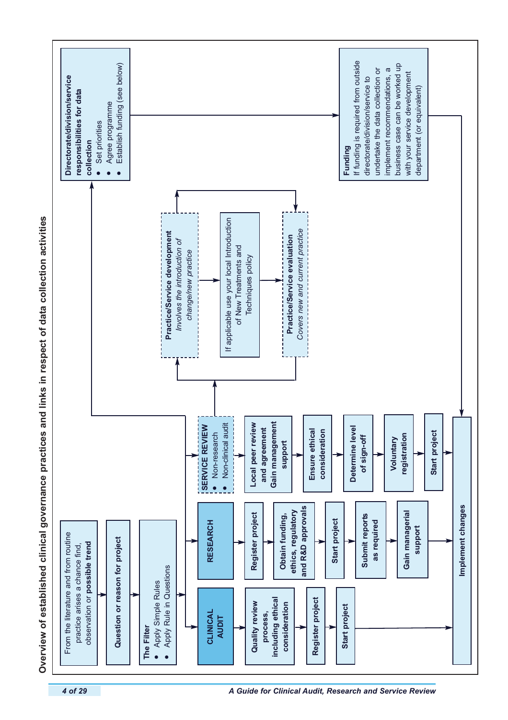

Overview of established clinical governance practices and links in respect of data collection activities **Overview of established clinical governance practices and links in respect of data collection activities**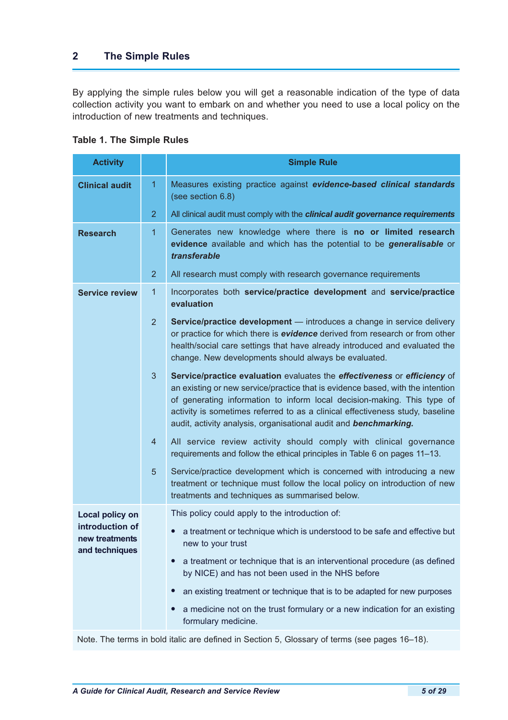# **2 The Simple Rules**

By applying the simple rules below you will get a reasonable indication of the type of data collection activity you want to embark on and whether you need to use a local policy on the introduction of new treatments and techniques.

| <b>Activity</b>                                     |                | <b>Simple Rule</b>                                                                                                                                                                                                                                                                                                                                                                         |
|-----------------------------------------------------|----------------|--------------------------------------------------------------------------------------------------------------------------------------------------------------------------------------------------------------------------------------------------------------------------------------------------------------------------------------------------------------------------------------------|
| <b>Clinical audit</b>                               | 1              | Measures existing practice against evidence-based clinical standards<br>(see section 6.8)                                                                                                                                                                                                                                                                                                  |
|                                                     | $\overline{2}$ | All clinical audit must comply with the clinical audit governance requirements                                                                                                                                                                                                                                                                                                             |
| <b>Research</b>                                     | 1              | Generates new knowledge where there is no or limited research<br>evidence available and which has the potential to be generalisable or<br>transferable                                                                                                                                                                                                                                     |
|                                                     | $\overline{2}$ | All research must comply with research governance requirements                                                                                                                                                                                                                                                                                                                             |
| <b>Service review</b>                               | 1              | Incorporates both service/practice development and service/practice<br>evaluation                                                                                                                                                                                                                                                                                                          |
|                                                     | $\overline{2}$ | Service/practice development - introduces a change in service delivery<br>or practice for which there is evidence derived from research or from other<br>health/social care settings that have already introduced and evaluated the<br>change. New developments should always be evaluated.                                                                                                |
|                                                     | 3 <sup>5</sup> | Service/practice evaluation evaluates the effectiveness or efficiency of<br>an existing or new service/practice that is evidence based, with the intention<br>of generating information to inform local decision-making. This type of<br>activity is sometimes referred to as a clinical effectiveness study, baseline<br>audit, activity analysis, organisational audit and benchmarking. |
|                                                     | $\overline{4}$ | All service review activity should comply with clinical governance<br>requirements and follow the ethical principles in Table 6 on pages 11-13.                                                                                                                                                                                                                                            |
|                                                     | $\sqrt{5}$     | Service/practice development which is concerned with introducing a new<br>treatment or technique must follow the local policy on introduction of new<br>treatments and techniques as summarised below.                                                                                                                                                                                     |
| Local policy on                                     |                | This policy could apply to the introduction of:                                                                                                                                                                                                                                                                                                                                            |
| introduction of<br>new treatments<br>and techniques |                | a treatment or technique which is understood to be safe and effective but<br>new to your trust                                                                                                                                                                                                                                                                                             |
|                                                     |                | a treatment or technique that is an interventional procedure (as defined<br>$\bullet$<br>by NICE) and has not been used in the NHS before                                                                                                                                                                                                                                                  |
|                                                     |                | an existing treatment or technique that is to be adapted for new purposes<br>$\bullet$                                                                                                                                                                                                                                                                                                     |
|                                                     |                | a medicine not on the trust formulary or a new indication for an existing<br>$\bullet$<br>formulary medicine.                                                                                                                                                                                                                                                                              |

## **Table 1. The Simple Rules**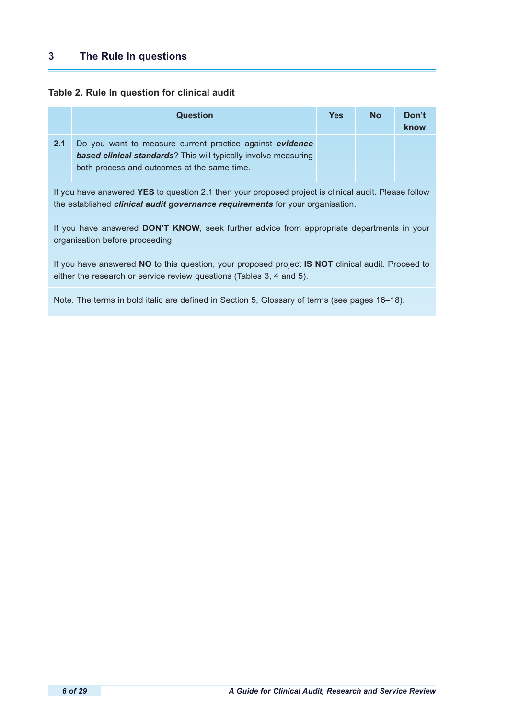#### **Table 2. Rule In question for clinical audit**

|     | Question                                                                                                                                                                           | <b>Yes</b> | <b>No</b> | Don't<br>know |
|-----|------------------------------------------------------------------------------------------------------------------------------------------------------------------------------------|------------|-----------|---------------|
| 2.1 | Do you want to measure current practice against evidence<br><b>based clinical standards</b> ? This will typically involve measuring<br>both process and outcomes at the same time. |            |           |               |

If you have answered **YES** to question 2.1 then your proposed project is clinical audit. Please follow the established *clinical audit governance requirements* for your organisation.

If you have answered **DON'T KNOW**, seek further advice from appropriate departments in your organisation before proceeding.

If you have answered **NO** to this question, your proposed project **IS NOT** clinical audit. Proceed to either the research or service review questions (Tables 3, 4 and 5).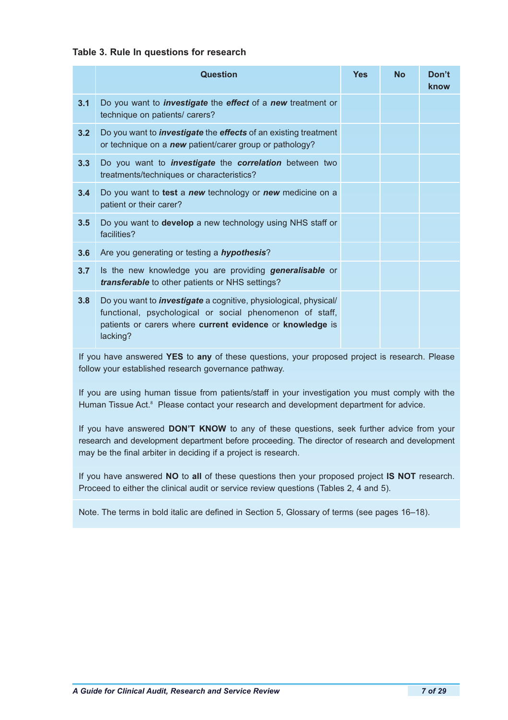## **Table 3. Rule In questions for research**

|     | <b>Question</b>                                                                                                                                                                                              | <b>Yes</b> | <b>No</b> | Don't<br>know |
|-----|--------------------------------------------------------------------------------------------------------------------------------------------------------------------------------------------------------------|------------|-----------|---------------|
| 3.1 | Do you want to <i>investigate</i> the <i>effect</i> of a <i>new</i> treatment or<br>technique on patients/ carers?                                                                                           |            |           |               |
| 3.2 | Do you want to <i>investigate</i> the <i>effects</i> of an existing treatment<br>or technique on a new patient/carer group or pathology?                                                                     |            |           |               |
| 3.3 | Do you want to <i>investigate</i> the <i>correlation</i> between two<br>treatments/techniques or characteristics?                                                                                            |            |           |               |
| 3.4 | Do you want to test a new technology or new medicine on a<br>patient or their carer?                                                                                                                         |            |           |               |
| 3.5 | Do you want to develop a new technology using NHS staff or<br>facilities?                                                                                                                                    |            |           |               |
| 3.6 | Are you generating or testing a hypothesis?                                                                                                                                                                  |            |           |               |
| 3.7 | Is the new knowledge you are providing generalisable or<br>transferable to other patients or NHS settings?                                                                                                   |            |           |               |
| 3.8 | Do you want to <i>investigate</i> a cognitive, physiological, physical/<br>functional, psychological or social phenomenon of staff,<br>patients or carers where current evidence or knowledge is<br>lacking? |            |           |               |

If you have answered **YES** to **any** of these questions, your proposed project is research. Please follow your established research governance pathway.

If you are using human tissue from patients/staff in your investigation you must comply with the Human Tissue Act.<sup>8</sup> Please contact your research and development department for advice.

If you have answered **DON'T KNOW** to any of these questions, seek further advice from your research and development department before proceeding. The director of research and development may be the final arbiter in deciding if a project is research.

If you have answered **NO** to **all** of these questions then your proposed project **IS NOT** research. Proceed to either the clinical audit or service review questions (Tables 2, 4 and 5).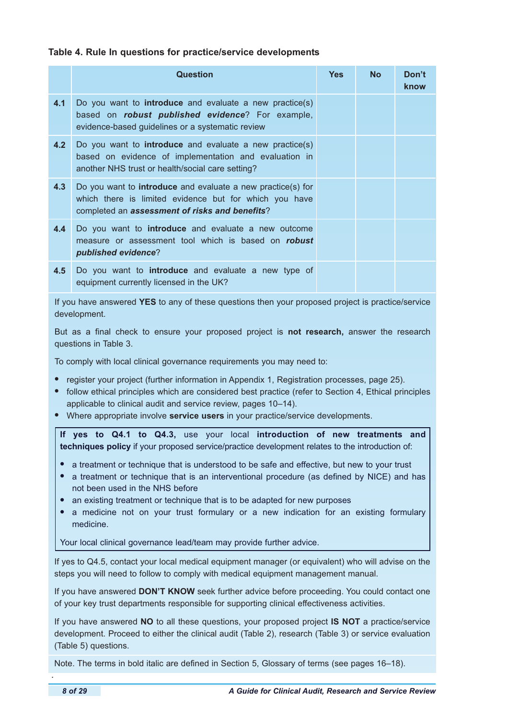#### **Table 4. Rule In questions for practice/service developments**

|     | <b>Question</b>                                                                                                                                                                | <b>Yes</b> | <b>No</b> | Don't<br>know |
|-----|--------------------------------------------------------------------------------------------------------------------------------------------------------------------------------|------------|-----------|---------------|
| 4.1 | Do you want to <b>introduce</b> and evaluate a new practice(s)<br>based on <b>robust published evidence</b> ? For example,<br>evidence-based guidelines or a systematic review |            |           |               |
| 4.2 | Do you want to <b>introduce</b> and evaluate a new practice(s)<br>based on evidence of implementation and evaluation in<br>another NHS trust or health/social care setting?    |            |           |               |
| 4.3 | Do you want to <b>introduce</b> and evaluate a new practice(s) for<br>which there is limited evidence but for which you have<br>completed an assessment of risks and benefits? |            |           |               |
| 4.4 | Do you want to <b>introduce</b> and evaluate a new outcome<br>measure or assessment tool which is based on <b>robust</b><br>published evidence?                                |            |           |               |
| 4.5 | Do you want to <b>introduce</b> and evaluate a new type of<br>equipment currently licensed in the UK?                                                                          |            |           |               |

If you have answered **YES** to any of these questions then your proposed project is practice/service development.

But as a final check to ensure your proposed project is **not research,** answer the research questions in Table 3.

To comply with local clinical governance requirements you may need to:

- **•** register your project (further information in Appendix 1, Registration processes, page 25).
- follow ethical principles which are considered best practice (refer to Section 4, Ethical principles applicable to clinical audit and service review, pages 10–14).
- **•** Where appropriate involve **service users** in your practice/service developments.

**If yes to Q4.1 to Q4.3,** use your local **introduction of new treatments and techniques policy** if your proposed service/practice development relates to the introduction of:

- a treatment or technique that is understood to be safe and effective, but new to your trust
- **•** a treatment or technique that is an interventional procedure (as defined by NICE) and has not been used in the NHS before
- **•** an existing treatment or technique that is to be adapted for new purposes
- **•** a medicine not on your trust formulary or a new indication for an existing formulary medicine.

Your local clinical governance lead/team may provide further advice.

If yes to Q4.5, contact your local medical equipment manager (or equivalent) who will advise on the steps you will need to follow to comply with medical equipment management manual.

If you have answered **DON'T KNOW** seek further advice before proceeding. You could contact one of your key trust departments responsible for supporting clinical effectiveness activities.

If you have answered **NO** to all these questions, your proposed project **IS NOT** a practice/service development. Proceed to either the clinical audit (Table 2), research (Table 3) or service evaluation (Table 5) questions.

Note. The terms in bold italic are defined in Section 5, Glossary of terms (see pages 16–18).

.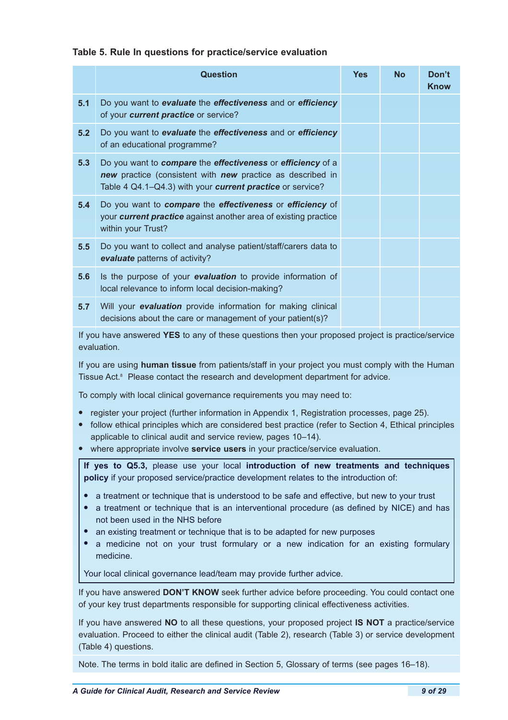## **Table 5. Rule In questions for practice/service evaluation**

|     | Question                                                                                                                                                                               | <b>Yes</b> | <b>No</b> | Don't<br><b>Know</b> |
|-----|----------------------------------------------------------------------------------------------------------------------------------------------------------------------------------------|------------|-----------|----------------------|
| 5.1 | Do you want to evaluate the effectiveness and or efficiency<br>of your current practice or service?                                                                                    |            |           |                      |
| 5.2 | Do you want to evaluate the effectiveness and or efficiency<br>of an educational programme?                                                                                            |            |           |                      |
| 5.3 | Do you want to compare the effectiveness or efficiency of a<br>new practice (consistent with new practice as described in<br>Table 4 Q4.1-Q4.3) with your current practice or service? |            |           |                      |
| 5.4 | Do you want to compare the effectiveness or efficiency of<br>your <b>current practice</b> against another area of existing practice<br>within your Trust?                              |            |           |                      |
| 5.5 | Do you want to collect and analyse patient/staff/carers data to<br>evaluate patterns of activity?                                                                                      |            |           |                      |
| 5.6 | Is the purpose of your evaluation to provide information of<br>local relevance to inform local decision-making?                                                                        |            |           |                      |
| 5.7 | Will your evaluation provide information for making clinical<br>decisions about the care or management of your patient(s)?                                                             |            |           |                      |
|     | If you have answered YES to any of these questions then your proposed project is practice/service<br>evaluation.                                                                       |            |           |                      |

If you are using **human tissue** from patients/staff in your project you must comply with the Human Tissue Act.<sup>8</sup> Please contact the research and development department for advice.

To comply with local clinical governance requirements you may need to:

- **•** register your project (further information in Appendix 1, Registration processes, page 25).
- **•** follow ethical principles which are considered best practice (refer to Section 4, Ethical principles applicable to clinical audit and service review, pages 10–14).
- **•** where appropriate involve **service users** in your practice/service evaluation.

**If yes to Q5.3,** please use your local **introduction of new treatments and techniques policy** if your proposed service/practice development relates to the introduction of:

- **•** a treatment or technique that is understood to be safe and effective, but new to your trust
- **•** a treatment or technique that is an interventional procedure (as defined by NICE) and has not been used in the NHS before
- **•** an existing treatment or technique that is to be adapted for new purposes
- **•** a medicine not on your trust formulary or a new indication for an existing formulary medicine.

Your local clinical governance lead/team may provide further advice.

If you have answered **DON'T KNOW** seek further advice before proceeding. You could contact one of your key trust departments responsible for supporting clinical effectiveness activities.

If you have answered **NO** to all these questions, your proposed project **IS NOT** a practice/service evaluation. Proceed to either the clinical audit (Table 2), research (Table 3) or service development (Table 4) questions.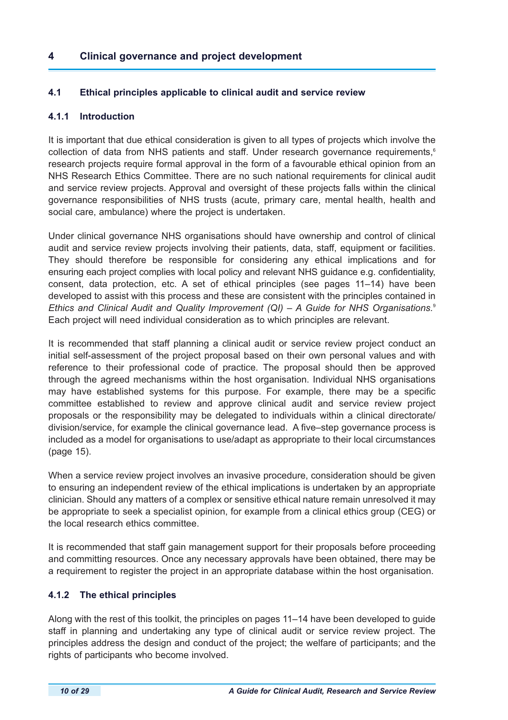# **4 Clinical governance and project development**

## **4.1 Ethical principles applicable to clinical audit and service review**

## **4.1.1 Introduction**

It is important that due ethical consideration is given to all types of projects which involve the collection of data from NHS patients and staff. Under research governance requirements,<sup>6</sup> research projects require formal approval in the form of a favourable ethical opinion from an NHS Research Ethics Committee. There are no such national requirements for clinical audit and service review projects. Approval and oversight of these projects falls within the clinical governance responsibilities of NHS trusts (acute, primary care, mental health, health and social care, ambulance) where the project is undertaken.

Under clinical governance NHS organisations should have ownership and control of clinical audit and service review projects involving their patients, data, staff, equipment or facilities. They should therefore be responsible for considering any ethical implications and for ensuring each project complies with local policy and relevant NHS guidance e.g. confidentiality, consent, data protection, etc. A set of ethical principles (see pages 11–14) have been developed to assist with this process and these are consistent with the principles contained in *Ethics and Clinical Audit and Quality Improvement (QI) – A Guide for NHS Organisations.*<sup>9</sup> Each project will need individual consideration as to which principles are relevant.

It is recommended that staff planning a clinical audit or service review project conduct an initial self-assessment of the project proposal based on their own personal values and with reference to their professional code of practice. The proposal should then be approved through the agreed mechanisms within the host organisation. Individual NHS organisations may have established systems for this purpose. For example, there may be a specific committee established to review and approve clinical audit and service review project proposals or the responsibility may be delegated to individuals within a clinical directorate/ division/service, for example the clinical governance lead. A five–step governance process is included as a model for organisations to use/adapt as appropriate to their local circumstances (page 15).

When a service review project involves an invasive procedure, consideration should be given to ensuring an independent review of the ethical implications is undertaken by an appropriate clinician. Should any matters of a complex or sensitive ethical nature remain unresolved it may be appropriate to seek a specialist opinion, for example from a clinical ethics group (CEG) or the local research ethics committee.

It is recommended that staff gain management support for their proposals before proceeding and committing resources. Once any necessary approvals have been obtained, there may be a requirement to register the project in an appropriate database within the host organisation.

## **4.1.2 The ethical principles**

Along with the rest of this toolkit, the principles on pages 11–14 have been developed to guide staff in planning and undertaking any type of clinical audit or service review project. The principles address the design and conduct of the project; the welfare of participants; and the rights of participants who become involved.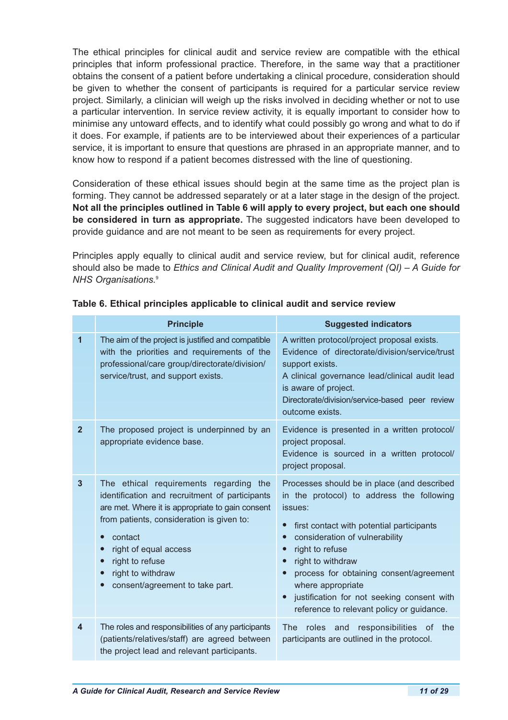The ethical principles for clinical audit and service review are compatible with the ethical principles that inform professional practice. Therefore, in the same way that a practitioner obtains the consent of a patient before undertaking a clinical procedure, consideration should be given to whether the consent of participants is required for a particular service review project. Similarly, a clinician will weigh up the risks involved in deciding whether or not to use a particular intervention. In service review activity, it is equally important to consider how to minimise any untoward effects, and to identify what could possibly go wrong and what to do if it does. For example, if patients are to be interviewed about their experiences of a particular service, it is important to ensure that questions are phrased in an appropriate manner, and to know how to respond if a patient becomes distressed with the line of questioning.

Consideration of these ethical issues should begin at the same time as the project plan is forming. They cannot be addressed separately or at a later stage in the design of the project. **Not all the principles outlined in Table 6 will apply to every project, but each one should be considered in turn as appropriate.** The suggested indicators have been developed to provide guidance and are not meant to be seen as requirements for every project.

Principles apply equally to clinical audit and service review, but for clinical audit, reference should also be made to *Ethics and Clinical Audit and Quality Improvement (QI) – A Guide for NHS Organisations.*<sup>9</sup>

|                         | <b>Principle</b>                                                                                                                                                                                                                                                                                                                   | <b>Suggested indicators</b>                                                                                                                                                                                                                                                                                                                                                                        |  |  |  |  |
|-------------------------|------------------------------------------------------------------------------------------------------------------------------------------------------------------------------------------------------------------------------------------------------------------------------------------------------------------------------------|----------------------------------------------------------------------------------------------------------------------------------------------------------------------------------------------------------------------------------------------------------------------------------------------------------------------------------------------------------------------------------------------------|--|--|--|--|
| 1                       | The aim of the project is justified and compatible<br>with the priorities and requirements of the<br>professional/care group/directorate/division/<br>service/trust, and support exists.                                                                                                                                           | A written protocol/project proposal exists.<br>Evidence of directorate/division/service/trust<br>support exists.<br>A clinical governance lead/clinical audit lead<br>is aware of project.<br>Directorate/division/service-based peer review<br>outcome exists.                                                                                                                                    |  |  |  |  |
| $\overline{2}$          | The proposed project is underpinned by an<br>appropriate evidence base.                                                                                                                                                                                                                                                            | Evidence is presented in a written protocol/<br>project proposal.<br>Evidence is sourced in a written protocol/<br>project proposal.                                                                                                                                                                                                                                                               |  |  |  |  |
| $\overline{\mathbf{3}}$ | The ethical requirements regarding the<br>identification and recruitment of participants<br>are met. Where it is appropriate to gain consent<br>from patients, consideration is given to:<br>contact<br>right of equal access<br>$\bullet$<br>right to refuse<br>$\bullet$<br>right to withdraw<br>consent/agreement to take part. | Processes should be in place (and described<br>in the protocol) to address the following<br>issues:<br>first contact with potential participants<br>consideration of vulnerability<br>$\bullet$<br>right to refuse<br>right to withdraw<br>process for obtaining consent/agreement<br>where appropriate<br>justification for not seeking consent with<br>reference to relevant policy or guidance. |  |  |  |  |
| $\overline{4}$          | The roles and responsibilities of any participants<br>(patients/relatives/staff) are agreed between<br>the project lead and relevant participants.                                                                                                                                                                                 | roles<br>responsibilities of<br><b>The</b><br>and<br>the<br>participants are outlined in the protocol.                                                                                                                                                                                                                                                                                             |  |  |  |  |

|  |  |  | Table 6. Ethical principles applicable to clinical audit and service review |  |  |  |
|--|--|--|-----------------------------------------------------------------------------|--|--|--|
|  |  |  |                                                                             |  |  |  |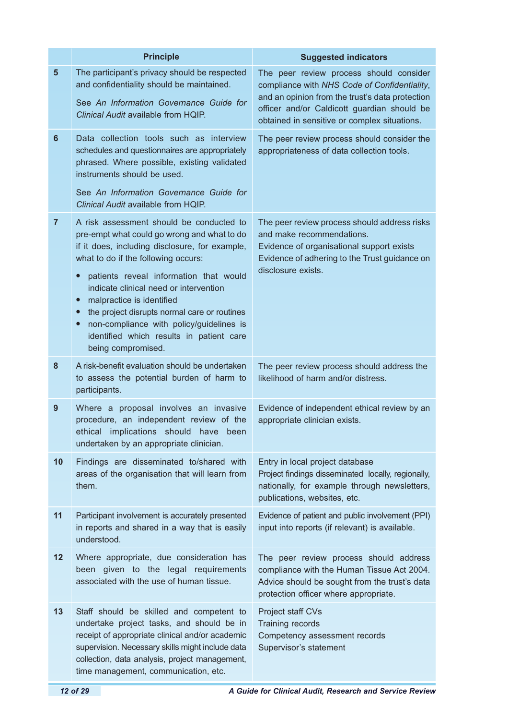|                | <b>Principle</b>                                                                                                                                                                                                                                                                                                            | <b>Suggested indicators</b>                                                                                                                                                                                                               |
|----------------|-----------------------------------------------------------------------------------------------------------------------------------------------------------------------------------------------------------------------------------------------------------------------------------------------------------------------------|-------------------------------------------------------------------------------------------------------------------------------------------------------------------------------------------------------------------------------------------|
| $5\phantom{1}$ | The participant's privacy should be respected<br>and confidentiality should be maintained.<br>See An Information Governance Guide for<br>Clinical Audit available from HQIP.                                                                                                                                                | The peer review process should consider<br>compliance with NHS Code of Confidentiality,<br>and an opinion from the trust's data protection<br>officer and/or Caldicott guardian should be<br>obtained in sensitive or complex situations. |
| $6\phantom{1}$ | Data collection tools such as interview<br>schedules and questionnaires are appropriately<br>phrased. Where possible, existing validated<br>instruments should be used.                                                                                                                                                     | The peer review process should consider the<br>appropriateness of data collection tools.                                                                                                                                                  |
|                | See An Information Governance Guide for<br>Clinical Audit available from HQIP.                                                                                                                                                                                                                                              |                                                                                                                                                                                                                                           |
| $\overline{7}$ | A risk assessment should be conducted to<br>pre-empt what could go wrong and what to do<br>if it does, including disclosure, for example,<br>what to do if the following occurs:<br>patients reveal information that would<br>$\bullet$<br>indicate clinical need or intervention<br>malpractice is identified<br>$\bullet$ | The peer review process should address risks<br>and make recommendations.<br>Evidence of organisational support exists<br>Evidence of adhering to the Trust guidance on<br>disclosure exists.                                             |
|                | the project disrupts normal care or routines<br>$\bullet$<br>non-compliance with policy/guidelines is<br>$\bullet$<br>identified which results in patient care<br>being compromised.                                                                                                                                        |                                                                                                                                                                                                                                           |
| 8              | A risk-benefit evaluation should be undertaken<br>to assess the potential burden of harm to<br>participants.                                                                                                                                                                                                                | The peer review process should address the<br>likelihood of harm and/or distress.                                                                                                                                                         |
| 9              | Where a proposal involves an invasive<br>procedure, an independent review of the<br>ethical implications should have been<br>undertaken by an appropriate clinician.                                                                                                                                                        | Evidence of independent ethical review by an<br>appropriate clinician exists.                                                                                                                                                             |
| 10             | Findings are disseminated to/shared with<br>areas of the organisation that will learn from<br>them.                                                                                                                                                                                                                         | Entry in local project database<br>Project findings disseminated locally, regionally,<br>nationally, for example through newsletters,<br>publications, websites, etc.                                                                     |
| 11             | Participant involvement is accurately presented<br>in reports and shared in a way that is easily<br>understood.                                                                                                                                                                                                             | Evidence of patient and public involvement (PPI)<br>input into reports (if relevant) is available.                                                                                                                                        |
| 12             | Where appropriate, due consideration has<br>been given to the legal requirements<br>associated with the use of human tissue.                                                                                                                                                                                                | The peer review process should address<br>compliance with the Human Tissue Act 2004.<br>Advice should be sought from the trust's data<br>protection officer where appropriate.                                                            |
| 13             | Staff should be skilled and competent to<br>undertake project tasks, and should be in<br>receipt of appropriate clinical and/or academic<br>supervision. Necessary skills might include data<br>collection, data analysis, project management,<br>time management, communication, etc.                                      | Project staff CVs<br>Training records<br>Competency assessment records<br>Supervisor's statement                                                                                                                                          |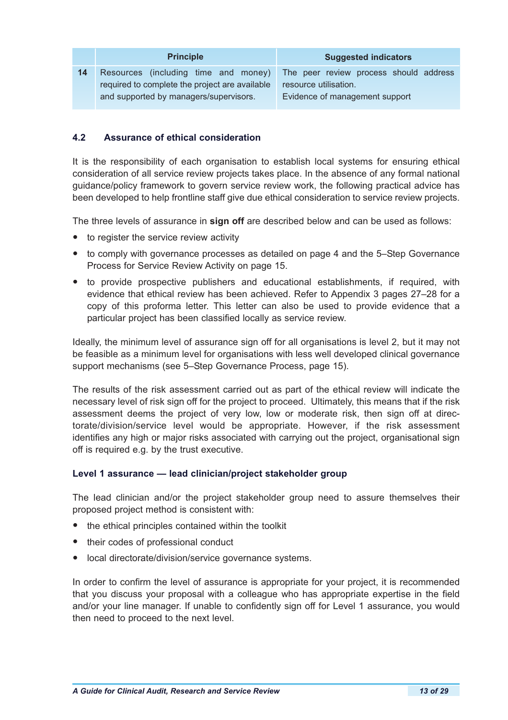|    | <b>Principle</b>                                                                       | <b>Suggested indicators</b>                                     |
|----|----------------------------------------------------------------------------------------|-----------------------------------------------------------------|
| 14 | Resources (including time and money)<br>required to complete the project are available | The peer review process should address<br>resource utilisation. |
|    | and supported by managers/supervisors.                                                 | Evidence of management support                                  |

## **4.2 Assurance of ethical consideration**

It is the responsibility of each organisation to establish local systems for ensuring ethical consideration of all service review projects takes place. In the absence of any formal national guidance/policy framework to govern service review work, the following practical advice has been developed to help frontline staff give due ethical consideration to service review projects.

The three levels of assurance in **sign off** are described below and can be used as follows:

- to register the service review activity
- to comply with governance processes as detailed on page 4 and the 5–Step Governance Process for Service Review Activity on page 15.
- to provide prospective publishers and educational establishments, if required, with evidence that ethical review has been achieved. Refer to Appendix 3 pages 27–28 for a copy of this proforma letter. This letter can also be used to provide evidence that a particular project has been classified locally as service review.

Ideally, the minimum level of assurance sign off for all organisations is level 2, but it may not be feasible as a minimum level for organisations with less well developed clinical governance support mechanisms (see 5–Step Governance Process, page 15).

The results of the risk assessment carried out as part of the ethical review will indicate the necessary level of risk sign off for the project to proceed. Ultimately, this means that if the risk assessment deems the project of very low, low or moderate risk, then sign off at directorate/division/service level would be appropriate. However, if the risk assessment identifies any high or major risks associated with carrying out the project, organisational sign off is required e.g. by the trust executive.

## **Level 1 assurance — lead clinician/project stakeholder group**

The lead clinician and/or the project stakeholder group need to assure themselves their proposed project method is consistent with:

- the ethical principles contained within the toolkit
- their codes of professional conduct
- local directorate/division/service governance systems.

In order to confirm the level of assurance is appropriate for your project, it is recommended that you discuss your proposal with a colleague who has appropriate expertise in the field and/or your line manager. If unable to confidently sign off for Level 1 assurance, you would then need to proceed to the next level.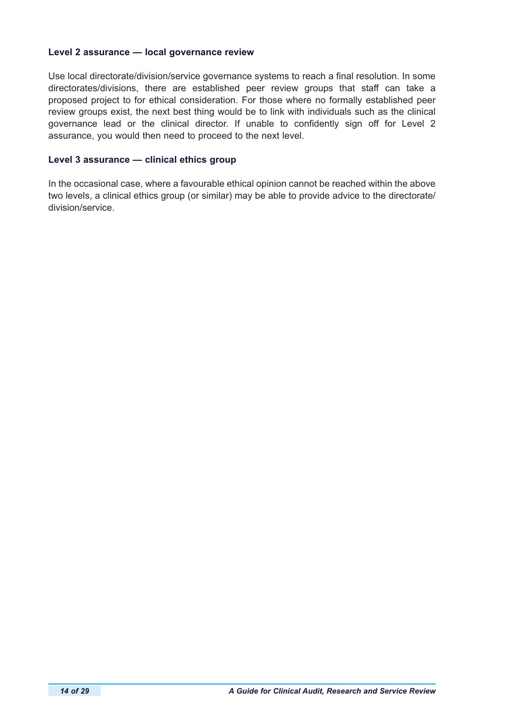#### **Level 2 assurance — local governance review**

Use local directorate/division/service governance systems to reach a final resolution. In some directorates/divisions, there are established peer review groups that staff can take a proposed project to for ethical consideration. For those where no formally established peer review groups exist, the next best thing would be to link with individuals such as the clinical governance lead or the clinical director. If unable to confidently sign off for Level 2 assurance, you would then need to proceed to the next level.

#### **Level 3 assurance — clinical ethics group**

In the occasional case, where a favourable ethical opinion cannot be reached within the above two levels, a clinical ethics group (or similar) may be able to provide advice to the directorate/ division/service.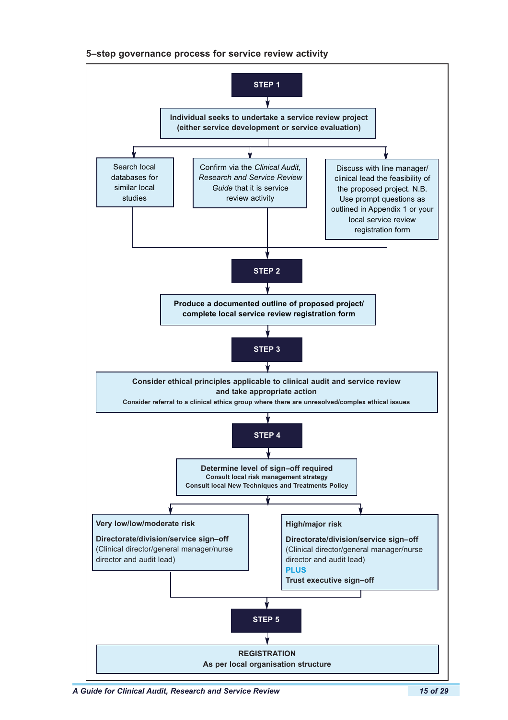#### **5–step governance process for service review activity**



*A Guide for Clinical Audit, Research and Service Review 15 of 29*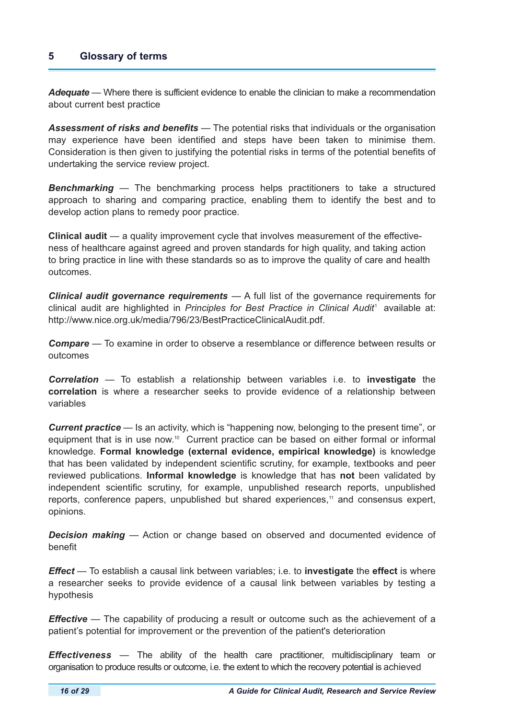# **5 Glossary of terms**

*Adequate* — Where there is sufficient evidence to enable the clinician to make a recommendation about current best practice

*Assessment of risks and benefits* — The potential risks that individuals or the organisation may experience have been identified and steps have been taken to minimise them. Consideration is then given to justifying the potential risks in terms of the potential benefits of undertaking the service review project.

**Benchmarking** — The benchmarking process helps practitioners to take a structured approach to sharing and comparing practice, enabling them to identify the best and to develop action plans to remedy poor practice.

**Clinical audit** — a quality improvement cycle that involves measurement of the effectiveness of healthcare against agreed and proven standards for high quality, and taking action to bring practice in line with these standards so as to improve the quality of care and health outcomes.

*Clinical audit governance requirements* — A full list of the governance requirements for clinical audit are highlighted in *Principles for Best Practice in Clinical Audit*<sup>1</sup> available at: http://www.nice.org.uk/media/796/23/BestPracticeClinicalAudit.pdf.

*Compare* — To examine in order to observe a resemblance or difference between results or outcomes

*Correlation* — To establish a relationship between variables i.e. to **investigate** the **correlation** is where a researcher seeks to provide evidence of a relationship between variables

*Current practice* — Is an activity, which is "happening now, belonging to the present time", or equipment that is in use now.<sup>10</sup> Current practice can be based on either formal or informal knowledge. **Formal knowledge (external evidence, empirical knowledge)** is knowledge that has been validated by independent scientific scrutiny, for example, textbooks and peer reviewed publications. **Informal knowledge** is knowledge that has **not** been validated by independent scientific scrutiny, for example, unpublished research reports, unpublished reports, conference papers, unpublished but shared experiences,<sup>11</sup> and consensus expert, opinions.

*Decision making* — Action or change based on observed and documented evidence of benefit

*Effect* — To establish a causal link between variables; i.e. to **investigate** the **effect** is where a researcher seeks to provide evidence of a causal link between variables by testing a hypothesis

*Effective* — The capability of producing a result or outcome such as the achievement of a patient's potential for improvement or the prevention of the patient's deterioration

*Effectiveness* — The ability of the health care practitioner, multidisciplinary team or organisation to produce results or outcome, i.e. the extent to which the recovery potential is achieved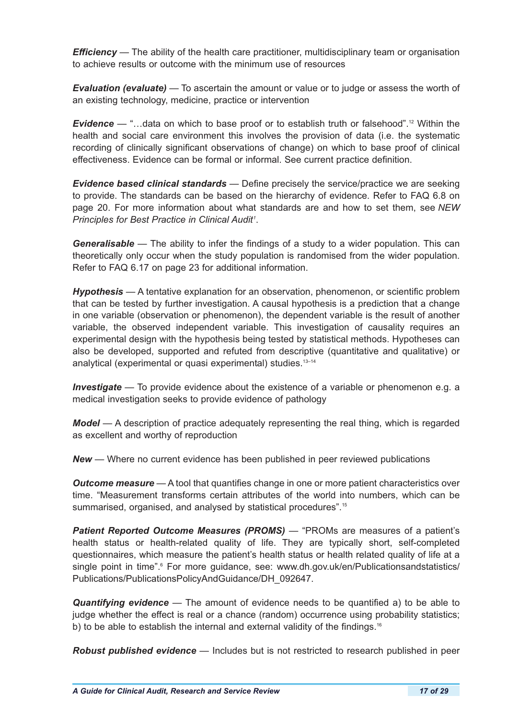*Efficiency* — The ability of the health care practitioner, multidisciplinary team or organisation to achieve results or outcome with the minimum use of resources

*Evaluation (evaluate)* — To ascertain the amount or value or to judge or assess the worth of an existing technology, medicine, practice or intervention

*Evidence* — "…data on which to base proof or to establish truth or falsehood".<sup>12</sup> Within the health and social care environment this involves the provision of data (i.e. the systematic recording of clinically significant observations of change) on which to base proof of clinical effectiveness. Evidence can be formal or informal. See current practice definition.

*Evidence based clinical standards* — Define precisely the service/practice we are seeking to provide. The standards can be based on the hierarchy of evidence. Refer to FAQ 6.8 on page 20. For more information about what standards are and how to set them, see *NEW Principles for Best Practice in Clinical Audit<sup>1</sup>* .

*Generalisable* — The ability to infer the findings of a study to a wider population. This can theoretically only occur when the study population is randomised from the wider population. Refer to FAQ 6.17 on page 23 for additional information.

*Hypothesis* — A tentative explanation for an observation, phenomenon, or scientific problem that can be tested by further investigation. A causal hypothesis is a prediction that a change in one variable (observation or phenomenon), the dependent variable is the result of another variable, the observed independent variable. This investigation of causality requires an experimental design with the hypothesis being tested by statistical methods. Hypotheses can also be developed, supported and refuted from descriptive (quantitative and qualitative) or analytical (experimental or quasi experimental) studies.<sup>13-14</sup>

*Investigate* — To provide evidence about the existence of a variable or phenomenon e.g. a medical investigation seeks to provide evidence of pathology

*Model* — A description of practice adequately representing the real thing, which is regarded as excellent and worthy of reproduction

*New* — Where no current evidence has been published in peer reviewed publications

*Outcome measure* — A tool that quantifies change in one or more patient characteristics over time. "Measurement transforms certain attributes of the world into numbers, which can be summarised, organised, and analysed by statistical procedures".<sup>15</sup>

*Patient Reported Outcome Measures (PROMS)* — "PROMs are measures of a patient's health status or health-related quality of life. They are typically short, self-completed questionnaires, which measure the patient's health status or health related quality of life at a single point in time".<sup>6</sup> For more guidance, see: www.dh.gov.uk/en/Publicationsandstatistics/ Publications/PublicationsPolicyAndGuidance/DH\_092647.

*Quantifying evidence* — The amount of evidence needs to be quantified a) to be able to judge whether the effect is real or a chance (random) occurrence using probability statistics; b) to be able to establish the internal and external validity of the findings.<sup>16</sup>

*Robust published evidence* — Includes but is not restricted to research published in peer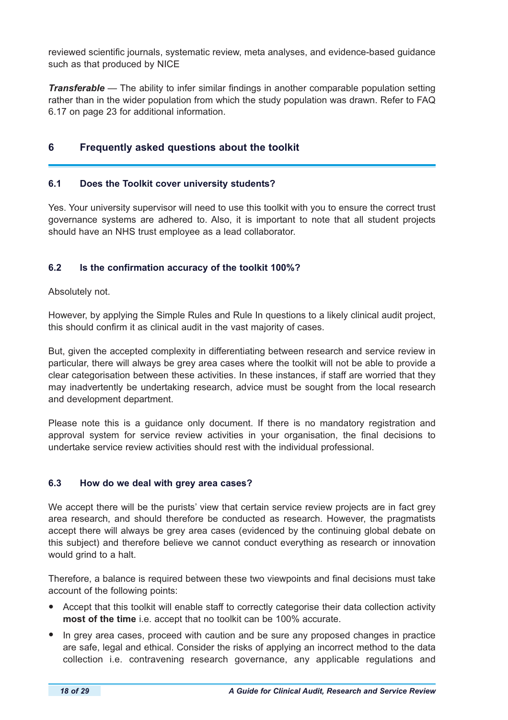reviewed scientific journals, systematic review, meta analyses, and evidence-based guidance such as that produced by NICE

*Transferable* — The ability to infer similar findings in another comparable population setting rather than in the wider population from which the study population was drawn. Refer to FAQ 6.17 on page 23 for additional information.

## **6 Frequently asked questions about the toolkit**

#### **6.1 Does the Toolkit cover university students?**

Yes. Your university supervisor will need to use this toolkit with you to ensure the correct trust governance systems are adhered to. Also, it is important to note that all student projects should have an NHS trust employee as a lead collaborator.

## **6.2 Is the confirmation accuracy of the toolkit 100%?**

Absolutely not.

However, by applying the Simple Rules and Rule In questions to a likely clinical audit project, this should confirm it as clinical audit in the vast majority of cases.

But, given the accepted complexity in differentiating between research and service review in particular, there will always be grey area cases where the toolkit will not be able to provide a clear categorisation between these activities. In these instances, if staff are worried that they may inadvertently be undertaking research, advice must be sought from the local research and development department.

Please note this is a guidance only document. If there is no mandatory registration and approval system for service review activities in your organisation, the final decisions to undertake service review activities should rest with the individual professional.

## **6.3 How do we deal with grey area cases?**

We accept there will be the purists' view that certain service review projects are in fact grey area research, and should therefore be conducted as research. However, the pragmatists accept there will always be grey area cases (evidenced by the continuing global debate on this subject) and therefore believe we cannot conduct everything as research or innovation would grind to a halt.

Therefore, a balance is required between these two viewpoints and final decisions must take account of the following points:

- Accept that this toolkit will enable staff to correctly categorise their data collection activity **most of the time** i.e. accept that no toolkit can be 100% accurate.
- In grey area cases, proceed with caution and be sure any proposed changes in practice are safe, legal and ethical. Consider the risks of applying an incorrect method to the data collection i.e. contravening research governance, any applicable regulations and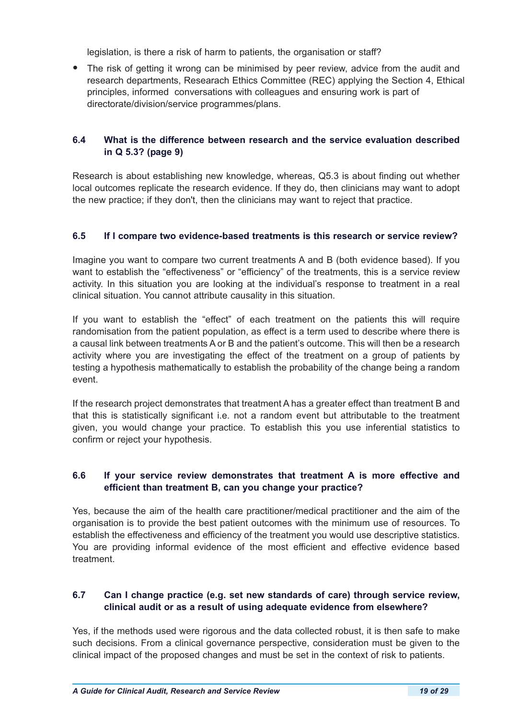legislation, is there a risk of harm to patients, the organisation or staff?

• The risk of getting it wrong can be minimised by peer review, advice from the audit and research departments, Researach Ethics Committee (REC) applying the Section 4, Ethical principles, informed conversations with colleagues and ensuring work is part of directorate/division/service programmes/plans.

## **6.4 What is the difference between research and the service evaluation described in Q 5.3? (page 9)**

Research is about establishing new knowledge, whereas, Q5.3 is about finding out whether local outcomes replicate the research evidence. If they do, then clinicians may want to adopt the new practice; if they don't, then the clinicians may want to reject that practice.

#### **6.5 If I compare two evidence-based treatments is this research or service review?**

Imagine you want to compare two current treatments A and B (both evidence based). If you want to establish the "effectiveness" or "efficiency" of the treatments, this is a service review activity. In this situation you are looking at the individual's response to treatment in a real clinical situation. You cannot attribute causality in this situation.

If you want to establish the "effect" of each treatment on the patients this will require randomisation from the patient population, as effect is a term used to describe where there is a causal link between treatments A or B and the patient's outcome. This will then be a research activity where you are investigating the effect of the treatment on a group of patients by testing a hypothesis mathematically to establish the probability of the change being a random event.

If the research project demonstrates that treatment A has a greater effect than treatment B and that this is statistically significant i.e. not a random event but attributable to the treatment given, you would change your practice. To establish this you use inferential statistics to confirm or reject your hypothesis.

## **6.6 If your service review demonstrates that treatment A is more effective and efficient than treatment B, can you change your practice?**

Yes, because the aim of the health care practitioner/medical practitioner and the aim of the organisation is to provide the best patient outcomes with the minimum use of resources. To establish the effectiveness and efficiency of the treatment you would use descriptive statistics. You are providing informal evidence of the most efficient and effective evidence based treatment.

## **6.7 Can I change practice (e.g. set new standards of care) through service review, clinical audit or as a result of using adequate evidence from elsewhere?**

Yes, if the methods used were rigorous and the data collected robust, it is then safe to make such decisions. From a clinical governance perspective, consideration must be given to the clinical impact of the proposed changes and must be set in the context of risk to patients.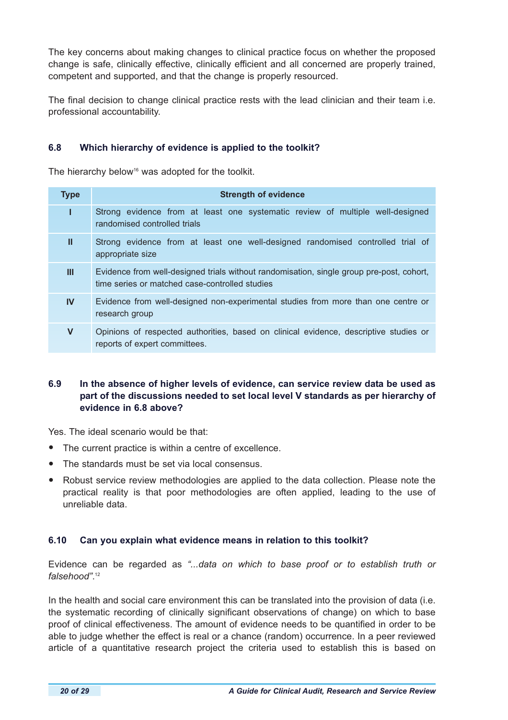The key concerns about making changes to clinical practice focus on whether the proposed change is safe, clinically effective, clinically efficient and all concerned are properly trained, competent and supported, and that the change is properly resourced.

The final decision to change clinical practice rests with the lead clinician and their team i.e. professional accountability.

## **6.8 Which hierarchy of evidence is applied to the toolkit?**

The hierarchy below<sup>16</sup> was adopted for the toolkit.

| <b>Type</b> | <b>Strength of evidence</b>                                                                                                                |
|-------------|--------------------------------------------------------------------------------------------------------------------------------------------|
|             | Strong evidence from at least one systematic review of multiple well-designed<br>randomised controlled trials                              |
| Ш           | Strong evidence from at least one well-designed randomised controlled trial of<br>appropriate size                                         |
| Ш           | Evidence from well-designed trials without randomisation, single group pre-post, cohort,<br>time series or matched case-controlled studies |
| <b>IV</b>   | Evidence from well-designed non-experimental studies from more than one centre or<br>research group                                        |
| V           | Opinions of respected authorities, based on clinical evidence, descriptive studies or<br>reports of expert committees.                     |

## **6.9 In the absence of higher levels of evidence, can service review data be used as part of the discussions needed to set local level V standards as per hierarchy of evidence in 6.8 above?**

Yes. The ideal scenario would be that:

- The current practice is within a centre of excellence.
- The standards must be set via local consensus.
- Robust service review methodologies are applied to the data collection. Please note the practical reality is that poor methodologies are often applied, leading to the use of unreliable data.

## **6.10 Can you explain what evidence means in relation to this toolkit?**

Evidence can be regarded as *"...data on which to base proof or to establish truth or falsehood"*. 12

In the health and social care environment this can be translated into the provision of data (i.e. the systematic recording of clinically significant observations of change) on which to base proof of clinical effectiveness. The amount of evidence needs to be quantified in order to be able to judge whether the effect is real or a chance (random) occurrence. In a peer reviewed article of a quantitative research project the criteria used to establish this is based on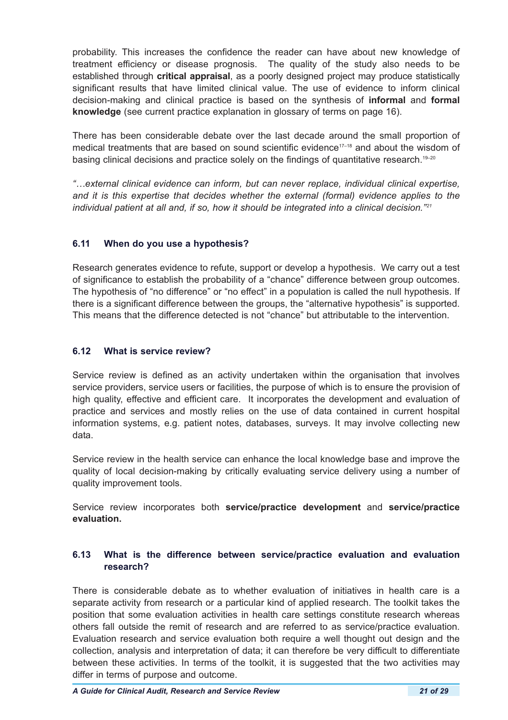probability. This increases the confidence the reader can have about new knowledge of treatment efficiency or disease prognosis. The quality of the study also needs to be established through **critical appraisal**, as a poorly designed project may produce statistically significant results that have limited clinical value. The use of evidence to inform clinical decision-making and clinical practice is based on the synthesis of **informal** and **formal knowledge** (see current practice explanation in glossary of terms on page 16).

There has been considerable debate over the last decade around the small proportion of medical treatments that are based on sound scientific evidence<sup>17-18</sup> and about the wisdom of basing clinical decisions and practice solely on the findings of quantitative research.<sup>19-20</sup>

*"…external clinical evidence can inform, but can never replace, individual clinical expertise, and it is this expertise that decides whether the external (formal) evidence applies to the individual patient at all and, if so, how it should be integrated into a clinical decision."<sup>21</sup>*

## **6.11 When do you use a hypothesis?**

Research generates evidence to refute, support or develop a hypothesis. We carry out a test of significance to establish the probability of a "chance" difference between group outcomes. The hypothesis of "no difference" or "no effect" in a population is called the null hypothesis. If there is a significant difference between the groups, the "alternative hypothesis" is supported. This means that the difference detected is not "chance" but attributable to the intervention.

## **6.12 What is service review?**

Service review is defined as an activity undertaken within the organisation that involves service providers, service users or facilities, the purpose of which is to ensure the provision of high quality, effective and efficient care. It incorporates the development and evaluation of practice and services and mostly relies on the use of data contained in current hospital information systems, e.g. patient notes, databases, surveys. It may involve collecting new data.

Service review in the health service can enhance the local knowledge base and improve the quality of local decision-making by critically evaluating service delivery using a number of quality improvement tools.

Service review incorporates both **service/practice development** and **service/practice evaluation.**

## **6.13 What is the difference between service/practice evaluation and evaluation research?**

There is considerable debate as to whether evaluation of initiatives in health care is a separate activity from research or a particular kind of applied research. The toolkit takes the position that some evaluation activities in health care settings constitute research whereas others fall outside the remit of research and are referred to as service/practice evaluation. Evaluation research and service evaluation both require a well thought out design and the collection, analysis and interpretation of data; it can therefore be very difficult to differentiate between these activities. In terms of the toolkit, it is suggested that the two activities may differ in terms of purpose and outcome.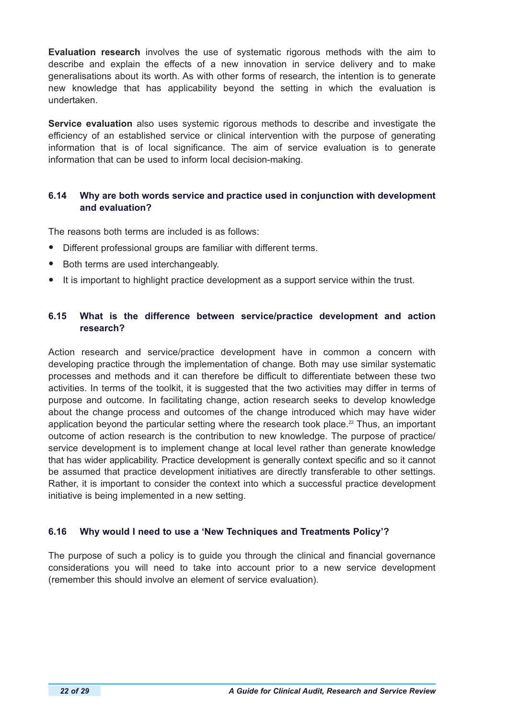**Evaluation research** involves the use of systematic rigorous methods with the aim to describe and explain the effects of a new innovation in service delivery and to make generalisations about its worth. As with other forms of research, the intention is to generate new knowledge that has applicability beyond the setting in which the evaluation is undertaken.

**Service evaluation** also uses systemic rigorous methods to describe and investigate the efficiency of an established service or clinical intervention with the purpose of generating information that is of local significance. The aim of service evaluation is to generate information that can be used to inform local decision-making.

## **6.14 Why are both words service and practice used in conjunction with development and evaluation?**

The reasons both terms are included is as follows:

- Different professional groups are familiar with different terms.
- Both terms are used interchangeably.
- It is important to highlight practice development as a support service within the trust.

## **6.15 What is the difference between service/practice development and action research?**

Action research and service/practice development have in common a concern with developing practice through the implementation of change. Both may use similar systematic processes and methods and it can therefore be difficult to differentiate between these two activities. In terms of the toolkit, it is suggested that the two activities may differ in terms of purpose and outcome. In facilitating change, action research seeks to develop knowledge about the change process and outcomes of the change introduced which may have wider application beyond the particular setting where the research took place.<sup>22</sup> Thus, an important outcome of action research is the contribution to new knowledge. The purpose of practice/ service development is to implement change at local level rather than generate knowledge that has wider applicability. Practice development is generally context specific and so it cannot be assumed that practice development initiatives are directly transferable to other settings. Rather, it is important to consider the context into which a successful practice development initiative is being implemented in a new setting.

## **6.16 Why would I need to use a 'New Techniques and Treatments Policy'?**

The purpose of such a policy is to guide you through the clinical and financial governance considerations you will need to take into account prior to a new service development (remember this should involve an element of service evaluation).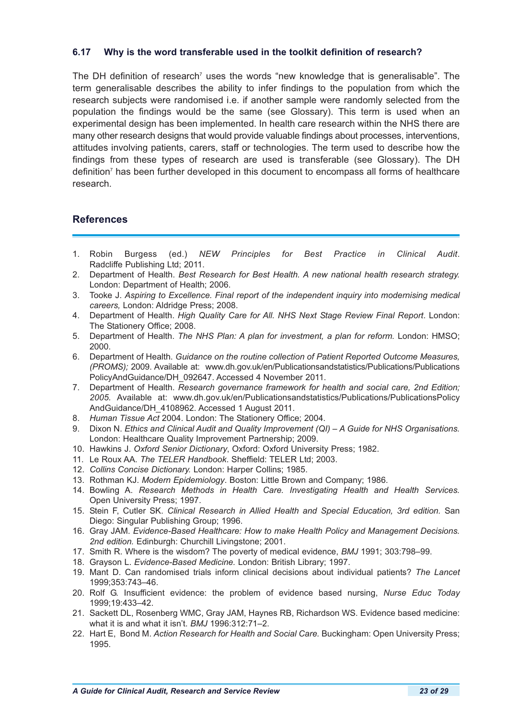#### **6.17 Why is the word transferable used in the toolkit definition of research?**

The DH definition of research<sup>7</sup> uses the words "new knowledge that is generalisable". The term generalisable describes the ability to infer findings to the population from which the research subjects were randomised i.e. if another sample were randomly selected from the population the findings would be the same (see Glossary). This term is used when an experimental design has been implemented. In health care research within the NHS there are many other research designs that would provide valuable findings about processes, interventions, attitudes involving patients, carers, staff or technologies. The term used to describe how the findings from these types of research are used is transferable (see Glossary). The DH definition<sup>7</sup> has been further developed in this document to encompass all forms of healthcare research.

## **References**

- 1. Robin Burgess (ed.) *NEW Principles for Best Practice in Clinical Audit*. Radcliffe Publishing Ltd; 2011.
- 2. Department of Health. *Best Research for Best Health. A new national health research strategy.*  London: Department of Health; 2006.
- 3. Tooke J. *Aspiring to Excellence. Final report of the independent inquiry into modernising medical careers,* London: Aldridge Press; 2008.
- 4. Department of Health. *High Quality Care for All. NHS Next Stage Review Final Report*. London: The Stationery Office; 2008.
- 5. Department of Health. *The NHS Plan: A plan for investment, a plan for reform.* London: HMSO; 2000.
- 6. Department of Health. *Guidance on the routine collection of Patient Reported Outcome Measures, (PROMS);* 2009. Available at: www.dh.gov.uk/en/Publicationsandstatistics/Publications/Publications PolicyAndGuidance/DH\_092647. Accessed 4 November 2011.
- 7. Department of Health. *Research governance framework for health and social care, 2nd Edition; 2005.* Available at: www.dh.gov.uk/en/Publicationsandstatistics/Publications/PublicationsPolicy AndGuidance/DH\_4108962. Accessed 1 August 2011.
- 8. *Human Tissue Act* 2004. London: The Stationery Office; 2004.
- 9. Dixon N. *Ethics and Clinical Audit and Quality Improvement (QI) A Guide for NHS Organisations.*  London: Healthcare Quality Improvement Partnership; 2009.
- 10. Hawkins J. *Oxford Senior Dictionary*, Oxford: Oxford University Press; 1982.
- 11. Le Roux AA. *The TELER Handbook*. Sheffield: TELER Ltd; 2003.
- 12. *Collins Concise Dictionary.* London: Harper Collins; 1985.
- 13. Rothman KJ. *Modern Epidemiology*. Boston: Little Brown and Company; 1986.
- 14. Bowling A. *Research Methods in Health Care. Investigating Health and Health Services.*  Open University Press; 1997.
- 15. Stein F, Cutler SK. *Clinical Research in Allied Health and Special Education, 3rd edition.* San Diego: Singular Publishing Group; 1996.
- 16. Gray JAM. *Evidence-Based Healthcare: How to make Health Policy and Management Decisions. 2nd edition.* Edinburgh: Churchill Livingstone; 2001.
- 17. Smith R. Where is the wisdom? The poverty of medical evidence, *BMJ* 1991; 303:798–99.
- 18. Grayson L. *Evidence-Based Medicine.* London: British Library; 1997.
- 19. Mant D. Can randomised trials inform clinical decisions about individual patients? *The Lancet* 1999;353:743–46.
- 20. Rolf G. Insufficient evidence: the problem of evidence based nursing, *Nurse Educ Today*  1999;19:433–42.
- 21. Sackett DL, Rosenberg WMC, Gray JAM, Haynes RB, Richardson WS. Evidence based medicine: what it is and what it isn't. *BMJ* 1996:312:71–2.
- 22. Hart E, Bond M. *Action Research for Health and Social Care.* Buckingham: Open University Press; 1995.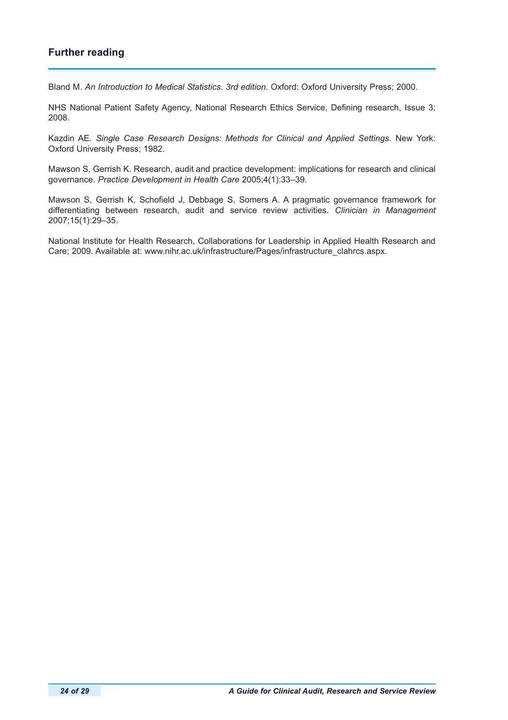# **Further reading**

Bland M. *An Introduction to Medical Statistics. 3rd edition.* Oxford: Oxford University Press; 2000.

NHS National Patient Safety Agency, National Research Ethics Service, Defining research, Issue 3; 2008.

Kazdin AE. *Single Case Research Designs: Methods for Clinical and Applied Settings.* New York: Oxford University Press; 1982.

Mawson S, Gerrish K. Research, audit and practice development: implications for research and clinical governance. *Practice Development in Health Care* 2005;4(1):33–39.

Mawson S, Gerrish K, Schofield J, Debbage S, Somers A. A pragmatic governance framework for differentiating between research, audit and service review activities. *Clinician in Management* 2007;15(1):29–35.

National Institute for Health Research, Collaborations for Leadership in Applied Health Research and Care; 2009. Available at: www.nihr.ac.uk/infrastructure/Pages/infrastructure\_clahrcs.aspx.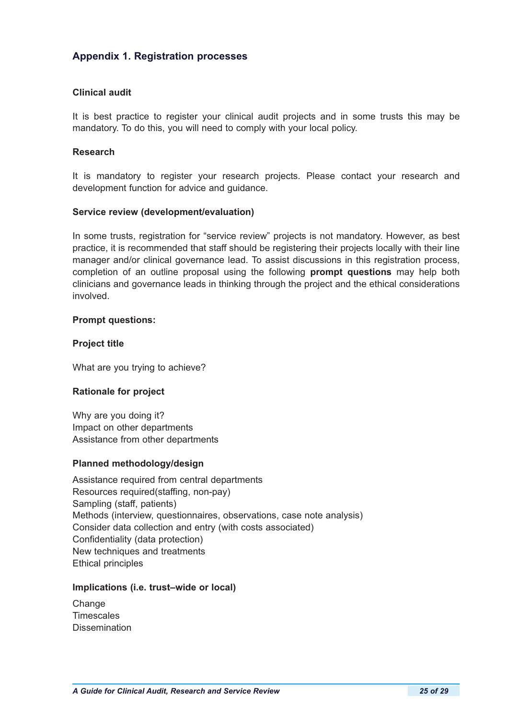# **Appendix 1. Registration processes**

#### **Clinical audit**

It is best practice to register your clinical audit projects and in some trusts this may be mandatory. To do this, you will need to comply with your local policy.

#### **Research**

It is mandatory to register your research projects. Please contact your research and development function for advice and guidance.

#### **Service review (development/evaluation)**

In some trusts, registration for "service review" projects is not mandatory. However, as best practice, it is recommended that staff should be registering their projects locally with their line manager and/or clinical governance lead. To assist discussions in this registration process, completion of an outline proposal using the following **prompt questions** may help both clinicians and governance leads in thinking through the project and the ethical considerations involved.

#### **Prompt questions:**

## **Project title**

What are you trying to achieve?

#### **Rationale for project**

Why are you doing it? Impact on other departments Assistance from other departments

## **Planned methodology/design**

Assistance required from central departments Resources required(staffing, non-pay) Sampling (staff, patients) Methods (interview, questionnaires, observations, case note analysis) Consider data collection and entry (with costs associated) Confidentiality (data protection) New techniques and treatments Ethical principles

#### **Implications (i.e. trust–wide or local)**

**Change** Timescales **Dissemination**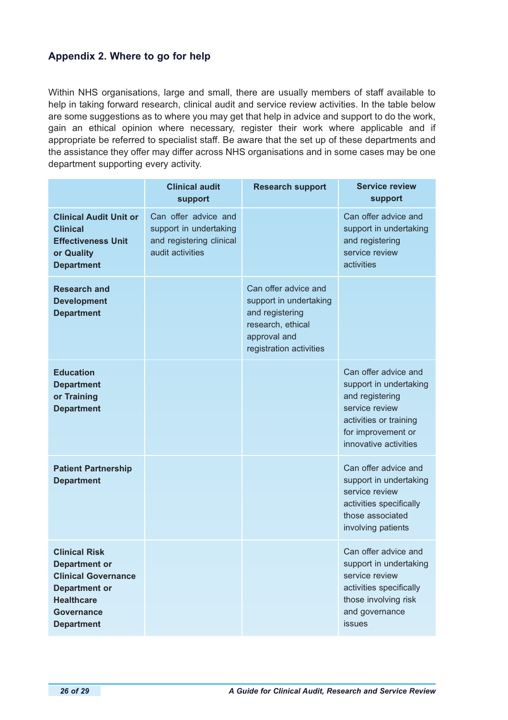# **Appendix 2. Where to go for help**

Within NHS organisations, large and small, there are usually members of staff available to help in taking forward research, clinical audit and service review activities. In the table below are some suggestions as to where you may get that help in advice and support to do the work, gain an ethical opinion where necessary, register their work where applicable and if appropriate be referred to specialist staff. Be aware that the set up of these departments and the assistance they offer may differ across NHS organisations and in some cases may be one department supporting every activity.

|                                                                                                                                                                   | <b>Clinical audit</b><br>support                                                               | <b>Research support</b>                                                                                                           | <b>Service review</b><br>support                                                                                                                             |
|-------------------------------------------------------------------------------------------------------------------------------------------------------------------|------------------------------------------------------------------------------------------------|-----------------------------------------------------------------------------------------------------------------------------------|--------------------------------------------------------------------------------------------------------------------------------------------------------------|
| <b>Clinical Audit Unit or</b><br><b>Clinical</b><br><b>Effectiveness Unit</b><br>or Quality<br><b>Department</b>                                                  | Can offer advice and<br>support in undertaking<br>and registering clinical<br>audit activities |                                                                                                                                   | Can offer advice and<br>support in undertaking<br>and registering<br>service review<br>activities                                                            |
| <b>Research and</b><br><b>Development</b><br><b>Department</b>                                                                                                    |                                                                                                | Can offer advice and<br>support in undertaking<br>and registering<br>research, ethical<br>approval and<br>registration activities |                                                                                                                                                              |
| <b>Education</b><br><b>Department</b><br>or Training<br><b>Department</b>                                                                                         |                                                                                                |                                                                                                                                   | Can offer advice and<br>support in undertaking<br>and registering<br>service review<br>activities or training<br>for improvement or<br>innovative activities |
| <b>Patient Partnership</b><br><b>Department</b>                                                                                                                   |                                                                                                |                                                                                                                                   | Can offer advice and<br>support in undertaking<br>service review<br>activities specifically<br>those associated<br>involving patients                        |
| <b>Clinical Risk</b><br><b>Department or</b><br><b>Clinical Governance</b><br><b>Department or</b><br><b>Healthcare</b><br><b>Governance</b><br><b>Department</b> |                                                                                                |                                                                                                                                   | Can offer advice and<br>support in undertaking<br>service review<br>activities specifically<br>those involving risk<br>and governance<br>issues              |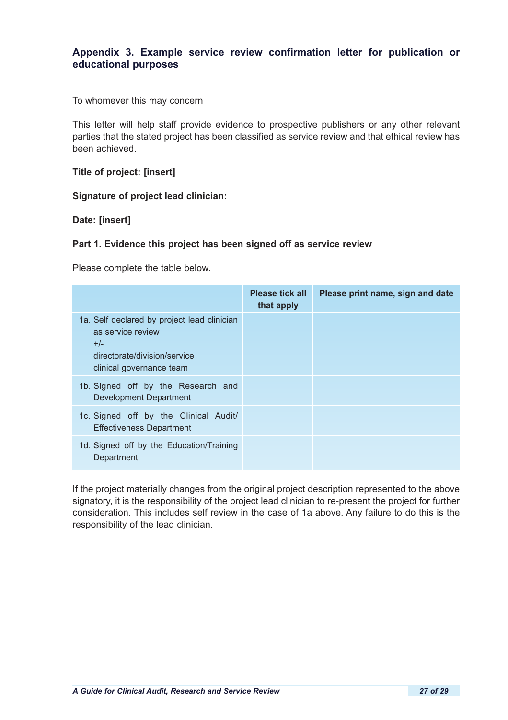# **Appendix 3. Example service review confirmation letter for publication or educational purposes**

To whomever this may concern

This letter will help staff provide evidence to prospective publishers or any other relevant parties that the stated project has been classified as service review and that ethical review has been achieved.

**Title of project: [insert]**

**Signature of project lead clinician:**

**Date: [insert]**

#### **Part 1. Evidence this project has been signed off as service review**

Please complete the table below.

|                                                                                                           | <b>Please tick all</b><br>that apply | Please print name, sign and date |
|-----------------------------------------------------------------------------------------------------------|--------------------------------------|----------------------------------|
| 1a. Self declared by project lead clinician<br>as service review<br>$+/-$<br>directorate/division/service |                                      |                                  |
| clinical governance team                                                                                  |                                      |                                  |
| 1b. Signed off by the Research and<br>Development Department                                              |                                      |                                  |
| 1c. Signed off by the Clinical Audit/<br><b>Effectiveness Department</b>                                  |                                      |                                  |
| 1d. Signed off by the Education/Training<br>Department                                                    |                                      |                                  |

If the project materially changes from the original project description represented to the above signatory, it is the responsibility of the project lead clinician to re-present the project for further consideration. This includes self review in the case of 1a above. Any failure to do this is the responsibility of the lead clinician.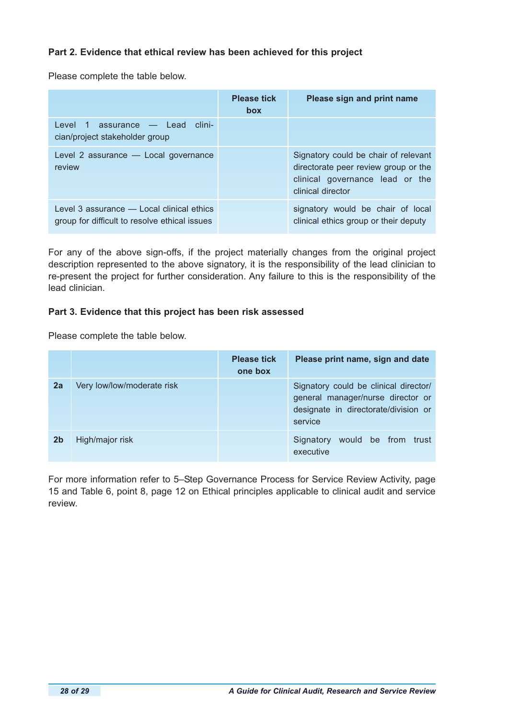## **Part 2. Evidence that ethical review has been achieved for this project**

Please complete the table below.

|                                                                                            | <b>Please tick</b><br><b>box</b> | Please sign and print name                                                                                                           |
|--------------------------------------------------------------------------------------------|----------------------------------|--------------------------------------------------------------------------------------------------------------------------------------|
| Level 1 assurance — Lead clini-<br>cian/project stakeholder group                          |                                  |                                                                                                                                      |
| Level 2 assurance - Local governance<br>review                                             |                                  | Signatory could be chair of relevant<br>directorate peer review group or the<br>clinical governance lead or the<br>clinical director |
| Level 3 assurance - Local clinical ethics<br>group for difficult to resolve ethical issues |                                  | signatory would be chair of local<br>clinical ethics group or their deputy                                                           |

For any of the above sign-offs, if the project materially changes from the original project description represented to the above signatory, it is the responsibility of the lead clinician to re-present the project for further consideration. Any failure to this is the responsibility of the lead clinician.

## **Part 3. Evidence that this project has been risk assessed**

Please complete the table below.

|                |                            | <b>Please tick</b><br>one box | Please print name, sign and date                                                                                              |
|----------------|----------------------------|-------------------------------|-------------------------------------------------------------------------------------------------------------------------------|
| 2a             | Very low/low/moderate risk |                               | Signatory could be clinical director/<br>general manager/nurse director or<br>designate in directorate/division or<br>service |
| 2 <sub>b</sub> | High/major risk            |                               | would be from trust<br>Signatory<br>executive                                                                                 |

For more information refer to 5–Step Governance Process for Service Review Activity, page 15 and Table 6, point 8, page 12 on Ethical principles applicable to clinical audit and service review.